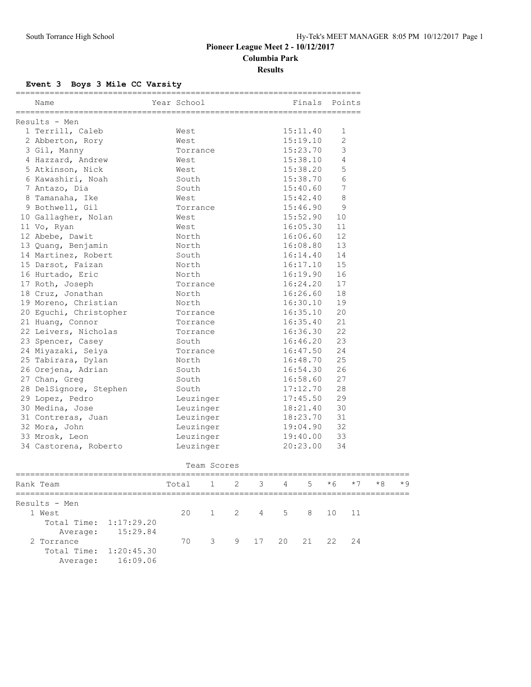## **Pioneer League Meet 2 - 10/12/2017 Columbia Park Results**

## **Event 3 Boys 3 Mile CC Varsity**

| Name                   | Year School | =========<br>Finals | Points         |
|------------------------|-------------|---------------------|----------------|
| Results - Men          |             |                     |                |
| 1 Terrill, Caleb       | West        | 15:11.40            | 1              |
| 2 Abberton, Rory       | West        | 15:19.10            | $\overline{2}$ |
| 3 Gil, Manny           | Torrance    | 15:23.70            | 3              |
| 4 Hazzard, Andrew      | West        | 15:38.10            | 4              |
| 5 Atkinson, Nick       | West        | 15:38.20            | 5              |
| 6 Kawashiri, Noah      | South       | 15:38.70            | 6              |
| 7 Antazo, Dia          | South       | 15:40.60            | $\overline{7}$ |
| 8 Tamanaha, Ike        | West        | 15:42.40            | 8              |
| 9 Bothwell, Gil        | Torrance    | 15:46.90            | 9              |
| 10 Gallagher, Nolan    | West        | 15:52.90            | 10             |
| 11 Vo, Ryan            | West        | 16:05.30            | 11             |
| 12 Abebe, Dawit        | North       | 16:06.60            | 12             |
| 13 Quang, Benjamin     | North       | 16:08.80            | 13             |
| 14 Martinez, Robert    | South       | 16:14.40            | 14             |
| 15 Darsot, Faizan      | North       | 16:17.10            | 15             |
| 16 Hurtado, Eric       | North       | 16:19.90            | 16             |
| 17 Roth, Joseph        | Torrance    | 16:24.20            | 17             |
| 18 Cruz, Jonathan      | North       | 16:26.60            | 18             |
| 19 Moreno, Christian   | North       | 16:30.10            | 19             |
| 20 Eguchi, Christopher | Torrance    | 16:35.10            | 20             |
| 21 Huang, Connor       | Torrance    | 16:35.40            | 21             |
| 22 Leivers, Nicholas   | Torrance    | 16:36.30            | 22             |
| 23 Spencer, Casey      | South       | 16:46.20            | 23             |
| 24 Miyazaki, Seiya     | Torrance    | 16:47.50            | 2.4            |
| 25 Tabirara, Dylan     | North       | 16:48.70            | 25             |
| 26 Orejena, Adrian     | South       | 16:54.30            | 26             |
| 27 Chan, Greg          | South       | 16:58.60            | 27             |
| 28 DelSignore, Stephen | South       | 17:12.70            | 28             |
| 29 Lopez, Pedro        | Leuzinger   | 17:45.50            | 29             |
| 30 Medina, Jose        | Leuzinger   | 18:21.40            | 30             |
| 31 Contreras, Juan     | Leuzinger   | 18:23.70            | 31             |
| 32 Mora, John          | Leuzinger   | 19:04.90            | 32             |
| 33 Mrosk, Leon         | Leuzinger   | 19:40.00            | 33             |
| 34 Castorena, Roberto  | Leuzinger   | 20:23.00            | 34             |

| Team Scores            |          |       |  |  |  |                          |  |  |      |      |      |
|------------------------|----------|-------|--|--|--|--------------------------|--|--|------|------|------|
| Rank Team              |          | Total |  |  |  | $1 \t2 \t3 \t4 \t5 \t*6$ |  |  | $*7$ | $*8$ | $*9$ |
| Results - Men          |          |       |  |  |  |                          |  |  |      |      |      |
| 1 West                 |          | 20    |  |  |  | 1 2 4 5 8 10 11          |  |  |      |      |      |
| Total Time: 1:17:29.20 |          |       |  |  |  |                          |  |  |      |      |      |
| Average:               | 15:29.84 |       |  |  |  |                          |  |  |      |      |      |
| 2 Torrance             |          | 70    |  |  |  | 3 9 17 20 21 22 24       |  |  |      |      |      |
| Total Time: 1:20:45.30 |          |       |  |  |  |                          |  |  |      |      |      |
| Average:               | 16:09.06 |       |  |  |  |                          |  |  |      |      |      |